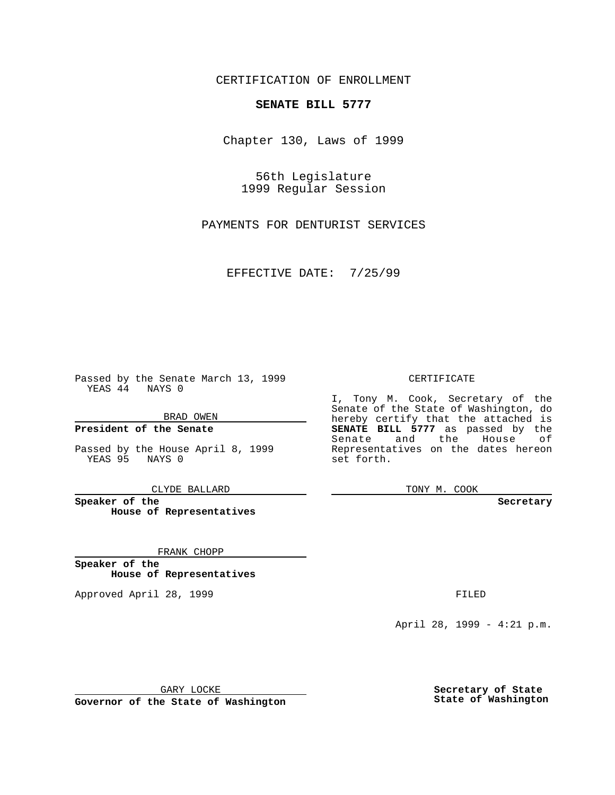CERTIFICATION OF ENROLLMENT

# **SENATE BILL 5777**

Chapter 130, Laws of 1999

56th Legislature 1999 Regular Session

PAYMENTS FOR DENTURIST SERVICES

EFFECTIVE DATE: 7/25/99

Passed by the Senate March 13, 1999 YEAS 44 NAYS 0

BRAD OWEN

**President of the Senate**

Passed by the House April 8, 1999 YEAS 95 NAYS 0

CLYDE BALLARD

**Speaker of the House of Representatives**

FRANK CHOPP

**Speaker of the House of Representatives**

Approved April 28, 1999 **FILED** 

### CERTIFICATE

I, Tony M. Cook, Secretary of the Senate of the State of Washington, do hereby certify that the attached is **SENATE BILL 5777** as passed by the Senate and the House of Representatives on the dates hereon set forth.

TONY M. COOK

#### **Secretary**

April 28, 1999 - 4:21 p.m.

GARY LOCKE

**Governor of the State of Washington**

**Secretary of State State of Washington**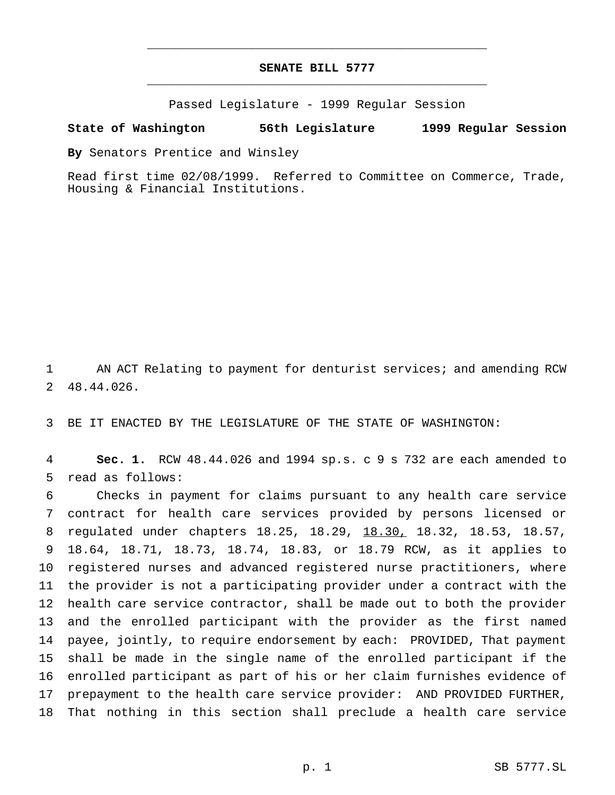# **SENATE BILL 5777** \_\_\_\_\_\_\_\_\_\_\_\_\_\_\_\_\_\_\_\_\_\_\_\_\_\_\_\_\_\_\_\_\_\_\_\_\_\_\_\_\_\_\_\_\_\_\_

\_\_\_\_\_\_\_\_\_\_\_\_\_\_\_\_\_\_\_\_\_\_\_\_\_\_\_\_\_\_\_\_\_\_\_\_\_\_\_\_\_\_\_\_\_\_\_

Passed Legislature - 1999 Regular Session

### **State of Washington 56th Legislature 1999 Regular Session**

**By** Senators Prentice and Winsley

Read first time 02/08/1999. Referred to Committee on Commerce, Trade, Housing & Financial Institutions.

 AN ACT Relating to payment for denturist services; and amending RCW 48.44.026.

BE IT ENACTED BY THE LEGISLATURE OF THE STATE OF WASHINGTON:

 **Sec. 1.** RCW 48.44.026 and 1994 sp.s. c 9 s 732 are each amended to read as follows:

 Checks in payment for claims pursuant to any health care service contract for health care services provided by persons licensed or regulated under chapters 18.25, 18.29, 18.30, 18.32, 18.53, 18.57, 18.64, 18.71, 18.73, 18.74, 18.83, or 18.79 RCW, as it applies to registered nurses and advanced registered nurse practitioners, where the provider is not a participating provider under a contract with the health care service contractor, shall be made out to both the provider and the enrolled participant with the provider as the first named payee, jointly, to require endorsement by each: PROVIDED, That payment shall be made in the single name of the enrolled participant if the enrolled participant as part of his or her claim furnishes evidence of prepayment to the health care service provider: AND PROVIDED FURTHER, That nothing in this section shall preclude a health care service